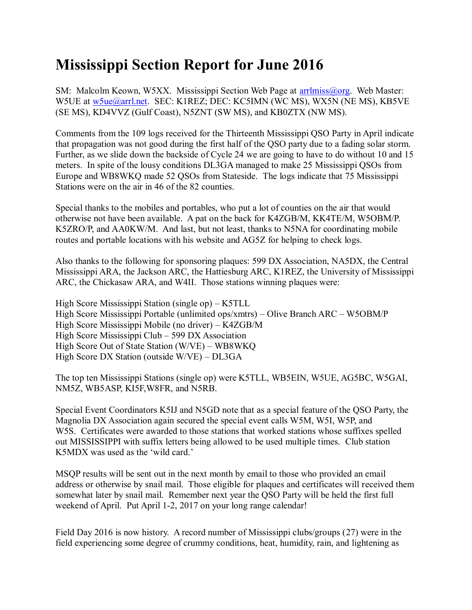## **Mississippi Section Report for June 2016**

SM: Malcolm Keown, W5XX. Mississippi Section Web Page at [arrlmiss@org.](mailto:arrlmiss@org) Web Master: W5UE at w<sub>5ue</sub>@arrl.net. SEC: K1REZ; DEC: KC5IMN (WC MS), WX5N (NE MS), KB5VE (SE MS), KD4VVZ (Gulf Coast), N5ZNT (SW MS), and KB0ZTX (NW MS).

Comments from the 109 logs received for the Thirteenth Mississippi QSO Party in April indicate that propagation was not good during the first half of the QSO party due to a fading solar storm. Further, as we slide down the backside of Cycle 24 we are going to have to do without 10 and 15 meters. In spite of the lousy conditions DL3GA managed to make 25 Mississippi QSOs from Europe and WB8WKQ made 52 QSOs from Stateside. The logs indicate that 75 Mississippi Stations were on the air in 46 of the 82 counties.

Special thanks to the mobiles and portables, who put a lot of counties on the air that would otherwise not have been available. A pat on the back for K4ZGB/M, KK4TE/M, W5OBM/P. K5ZRO/P, and AA0KW/M. And last, but not least, thanks to N5NA for coordinating mobile routes and portable locations with his website and AG5Z for helping to check logs.

Also thanks to the following for sponsoring plaques: 599 DX Association, NA5DX, the Central Mississippi ARA, the Jackson ARC, the Hattiesburg ARC, K1REZ, the University of Mississippi ARC, the Chickasaw ARA, and W4II. Those stations winning plaques were:

High Score Mississippi Station (single op) – K5TLL High Score Mississippi Portable (unlimited ops/xmtrs) – Olive Branch ARC – W5OBM/P High Score Mississippi Mobile (no driver) – K4ZGB/M High Score Mississippi Club – 599 DX Association High Score Out of State Station (W/VE) – WB8WKQ High Score DX Station (outside W/VE) – DL3GA

The top ten Mississippi Stations (single op) were K5TLL, WB5EIN, W5UE, AG5BC, W5GAI, NM5Z, WB5ASP, KI5F,W8FR, and N5RB.

Special Event Coordinators K5IJ and N5GD note that as a special feature of the QSO Party, the Magnolia DX Association again secured the special event calls W5M, W5I, W5P, and W5S. Certificates were awarded to those stations that worked stations whose suffixes spelled out MISSISSIPPI with suffix letters being allowed to be used multiple times. Club station K5MDX was used as the 'wild card.'

MSQP results will be sent out in the next month by email to those who provided an email address or otherwise by snail mail. Those eligible for plaques and certificates will received them somewhat later by snail mail. Remember next year the QSO Party will be held the first full weekend of April. Put April 1-2, 2017 on your long range calendar!

Field Day 2016 is now history. A record number of Mississippi clubs/groups (27) were in the field experiencing some degree of crummy conditions, heat, humidity, rain, and lightening as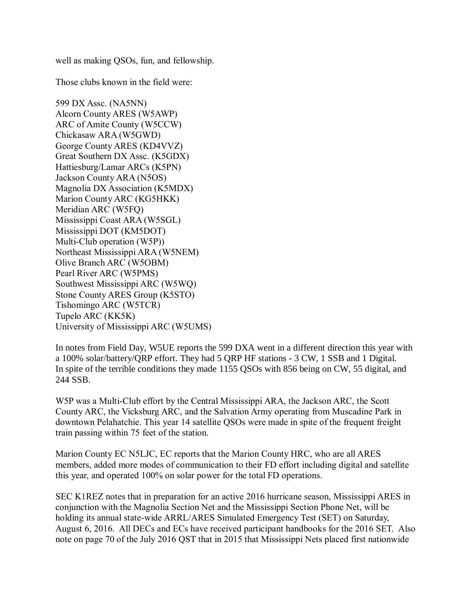well as making QSOs, fun, and fellowship.

Those clubs known in the field were:

599 DX Assc. (NA5NN) Alcorn County ARES (W5AWP) ARC of Amite County (W5CCW) Chickasaw ARA (W5GWD) George County ARES (KD4VVZ) Great Southern DX Assc. (K5GDX) Hattiesburg/Lamar ARCs (K5PN) Jackson County ARA (N5OS) Magnolia DX Association (K5MDX) Marion County ARC (KG5HKK) Meridian ARC (W5FQ) Mississippi Coast ARA (W5SGL) Mississippi DOT (KM5DOT) Multi-Club operation (W5P)) Northeast Mississippi ARA (W5NEM) Olive Branch ARC (W5OBM) Pearl River ARC (W5PMS) Southwest Mississippi ARC (W5WQ) Stone County ARES Group (K5STO) Tishomingo ARC (W5TCR) Tupelo ARC (KK5K) University of Mississippi ARC (W5UMS)

In notes from Field Day, W5UE reports the 599 DXA went in a different direction this year with a 100% solar/battery/QRP effort. They had 5 QRP HF stations - 3 CW, 1 SSB and 1 Digital. In spite of the terrible conditions they made 1155 QSOs with 856 being on CW, 55 digital, and 244 SSB.

W5P was a Multi-Club effort by the Central Mississippi ARA, the Jackson ARC, the Scott County ARC, the Vicksburg ARC, and the Salvation Army operating from Muscadine Park in downtown Pelahatchie. This year 14 satellite QSOs were made in spite of the frequent freight train passing within 75 feet of the station.

Marion County EC N5LJC, EC reports that the Marion County HRC, who are all ARES members, added more modes of communication to their FD effort including digital and satellite this year, and operated 100% on solar power for the total FD operations.

SEC K1REZ notes that in preparation for an active 2016 hurricane season, Mississippi ARES in conjunction with the Magnolia Section Net and the Mississippi Section Phone Net, will be holding its annual state-wide ARRL/ARES Simulated Emergency Test (SET) on Saturday, August 6, 2016. All DECs and ECs have received participant handbooks for the 2016 SET. Also note on page 70 of the July 2016 QST that in 2015 that Mississippi Nets placed first nationwide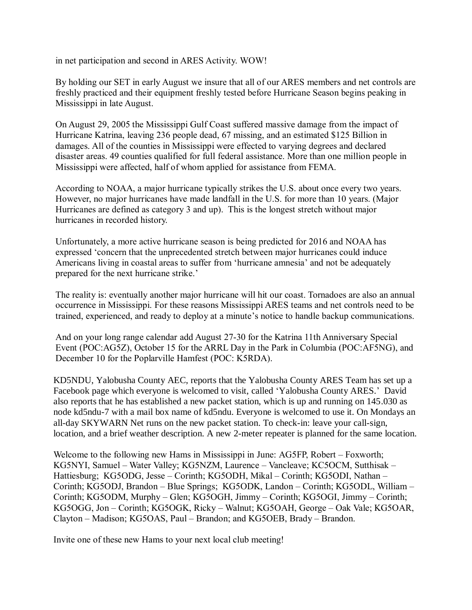in net participation and second in ARES Activity. WOW!

By holding our SET in early August we insure that all of our ARES members and net controls are freshly practiced and their equipment freshly tested before Hurricane Season begins peaking in Mississippi in late August.

On August 29, 2005 the Mississippi Gulf Coast suffered massive damage from the impact of Hurricane Katrina, leaving 236 people dead, 67 missing, and an estimated \$125 Billion in damages. All of the counties in Mississippi were effected to varying degrees and declared disaster areas. 49 counties qualified for full federal assistance. More than one million people in Mississippi were affected, half of whom applied for assistance from FEMA.

According to NOAA, a major hurricane typically strikes the U.S. about once every two years. However, no major hurricanes have made landfall in the U.S. for more than 10 years. (Major Hurricanes are defined as category 3 and up). This is the longest stretch without major hurricanes in recorded history.

Unfortunately, a more active hurricane season is being predicted for 2016 and NOAA has expressed 'concern that the unprecedented stretch between major hurricanes could induce Americans living in coastal areas to suffer from 'hurricane amnesia' and not be adequately prepared for the next hurricane strike.'

The reality is: eventually another major hurricane will hit our coast. Tornadoes are also an annual occurrence in Mississippi. For these reasons Mississippi ARES teams and net controls need to be trained, experienced, and ready to deploy at a minute's notice to handle backup communications.

And on your long range calendar add August 27-30 for the Katrina 11th Anniversary Special Event (POC:AG5Z), October 15 for the ARRL Day in the Park in Columbia (POC:AF5NG), and December 10 for the Poplarville Hamfest (POC: K5RDA).

KD5NDU, Yalobusha County AEC, reports that the Yalobusha County ARES Team has set up a Facebook page which everyone is welcomed to visit, called 'Yalobusha County ARES.' David also reports that he has established a new packet station, which is up and running on 145.030 as node kd5ndu-7 with a mail box name of kd5ndu. Everyone is welcomed to use it. On Mondays an all-day SKYWARN Net runs on the new packet station. To check-in: leave your call-sign, location, and a brief weather description. A new 2-meter repeater is planned for the same location.

Welcome to the following new Hams in Mississippi in June: AG5FP, Robert – Foxworth; KG5NYI, Samuel – Water Valley; KG5NZM, Laurence – Vancleave; KC5OCM, Sutthisak – Hattiesburg; KG5ODG, Jesse – Corinth; KG5ODH, Mikal – Corinth; KG5ODI, Nathan – Corinth; KG5ODJ, Brandon – Blue Springs; KG5ODK, Landon – Corinth; KG5ODL, William – Corinth; KG5ODM, Murphy – Glen; KG5OGH, Jimmy – Corinth; KG5OGI, Jimmy – Corinth; KG5OGG, Jon – Corinth; KG5OGK, Ricky – Walnut; KG5OAH, George – Oak Vale; KG5OAR, Clayton – Madison; KG5OAS, Paul – Brandon; and KG5OEB, Brady – Brandon.

Invite one of these new Hams to your next local club meeting!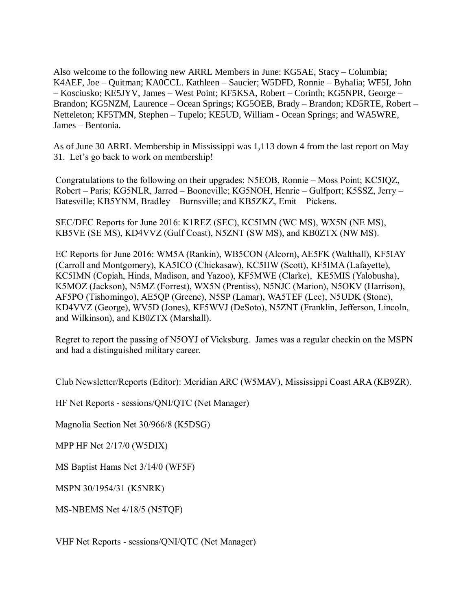Also welcome to the following new ARRL Members in June: KG5AE, Stacy – Columbia; K4AEF, Joe – Quitman; KA0CCL. Kathleen – Saucier; W5DFD, Ronnie – Byhalia; WF5I, John – Kosciusko; KE5JYV, James – West Point; KF5KSA, Robert – Corinth; KG5NPR, George – Brandon; KG5NZM, Laurence – Ocean Springs; KG5OEB, Brady – Brandon; KD5RTE, Robert – Netteleton; KF5TMN, Stephen – Tupelo; KE5UD, William - Ocean Springs; and WA5WRE, James – Bentonia.

As of June 30 ARRL Membership in Mississippi was 1,113 down 4 from the last report on May 31. Let's go back to work on membership!

Congratulations to the following on their upgrades: N5EOB, Ronnie – Moss Point; KC5IQZ, Robert – Paris; KG5NLR, Jarrod – Booneville; KG5NOH, Henrie – Gulfport; K5SSZ, Jerry – Batesville; KB5YNM, Bradley – Burnsville; and KB5ZKZ, Emit – Pickens.

SEC/DEC Reports for June 2016: K1REZ (SEC), KC5IMN (WC MS), WX5N (NE MS), KB5VE (SE MS), KD4VVZ (Gulf Coast), N5ZNT (SW MS), and KB0ZTX (NW MS).

EC Reports for June 2016: WM5A (Rankin), WB5CON (Alcorn), AE5FK (Walthall), KF5IAY (Carroll and Montgomery), KA5ICO (Chickasaw), KC5IIW (Scott), KF5IMA (Lafayette), KC5IMN (Copiah, Hinds, Madison, and Yazoo), KF5MWE (Clarke), KE5MIS (Yalobusha), K5MOZ (Jackson), N5MZ (Forrest), WX5N (Prentiss), N5NJC (Marion), N5OKV (Harrison), AF5PO (Tishomingo), AE5QP (Greene), N5SP (Lamar), WA5TEF (Lee), N5UDK (Stone), KD4VVZ (George), WV5D (Jones), KF5WVJ (DeSoto), N5ZNT (Franklin, Jefferson, Lincoln, and Wilkinson), and KB0ZTX (Marshall).

Regret to report the passing of N5OYJ of Vicksburg. James was a regular checkin on the MSPN and had a distinguished military career.

Club Newsletter/Reports (Editor): Meridian ARC (W5MAV), Mississippi Coast ARA (KB9ZR).

HF Net Reports - sessions/QNI/QTC (Net Manager)

Magnolia Section Net 30/966/8 (K5DSG)

MPP HF Net 2/17/0 (W5DIX)

MS Baptist Hams Net 3/14/0 (WF5F)

MSPN 30/1954/31 (K5NRK)

MS-NBEMS Net 4/18/5 (N5TQF)

VHF Net Reports - sessions/QNI/QTC (Net Manager)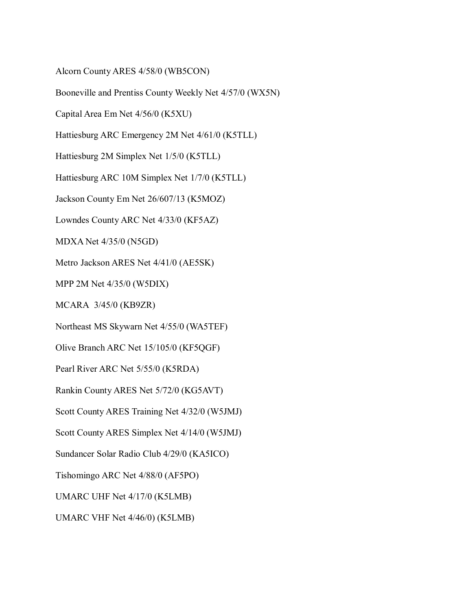Alcorn County ARES 4/58/0 (WB5CON)

Booneville and Prentiss County Weekly Net 4/57/0 (WX5N)

Capital Area Em Net 4/56/0 (K5XU)

Hattiesburg ARC Emergency 2M Net 4/61/0 (K5TLL)

Hattiesburg 2M Simplex Net 1/5/0 (K5TLL)

Hattiesburg ARC 10M Simplex Net 1/7/0 (K5TLL)

Jackson County Em Net 26/607/13 (K5MOZ)

Lowndes County ARC Net 4/33/0 (KF5AZ)

MDXA Net 4/35/0 (N5GD)

Metro Jackson ARES Net 4/41/0 (AE5SK)

MPP 2M Net 4/35/0 (W5DIX)

MCARA 3/45/0 (KB9ZR)

Northeast MS Skywarn Net 4/55/0 (WA5TEF)

Olive Branch ARC Net 15/105/0 (KF5QGF)

Pearl River ARC Net 5/55/0 (K5RDA)

Rankin County ARES Net 5/72/0 (KG5AVT)

Scott County ARES Training Net 4/32/0 (W5JMJ)

Scott County ARES Simplex Net 4/14/0 (W5JMJ)

Sundancer Solar Radio Club 4/29/0 (KA5ICO)

Tishomingo ARC Net 4/88/0 (AF5PO)

UMARC UHF Net 4/17/0 (K5LMB)

UMARC VHF Net 4/46/0) (K5LMB)